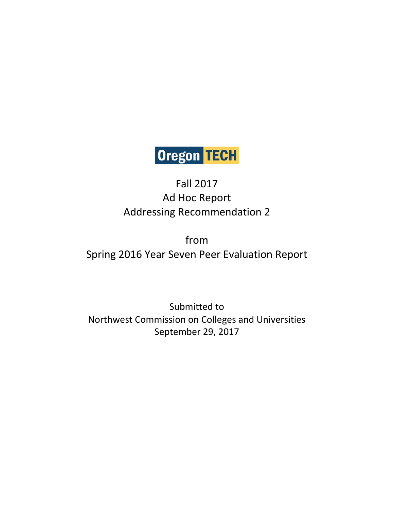# Oregon TECH

# Fall 2017 Ad Hoc Report Addressing Recommendation 2

from Spring 2016 Year Seven Peer Evaluation Report

Submitted to Northwest Commission on Colleges and Universities September 29, 2017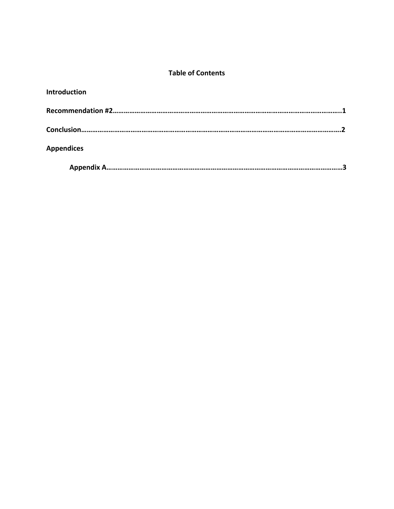# **Table of Contents**

| <b>Introduction</b> |  |
|---------------------|--|
|                     |  |
|                     |  |
| <b>Appendices</b>   |  |
|                     |  |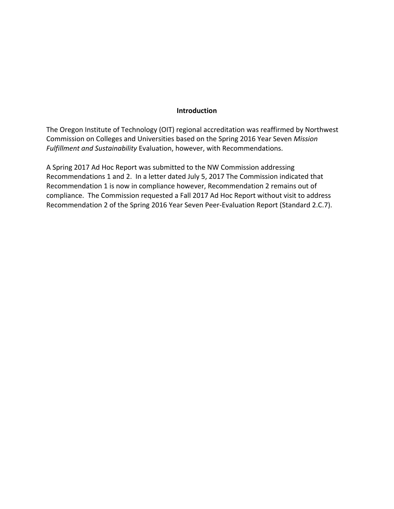#### **Introduction**

The Oregon Institute of Technology (OIT) regional accreditation was reaffirmed by Northwest Commission on Colleges and Universities based on the Spring 2016 Year Seven *Mission Fulfillment and Sustainability* Evaluation, however, with Recommendations.

A Spring 2017 Ad Hoc Report was submitted to the NW Commission addressing Recommendations 1 and 2. In a letter dated July 5, 2017 The Commission indicated that Recommendation 1 is now in compliance however, Recommendation 2 remains out of compliance. The Commission requested a Fall 2017 Ad Hoc Report without visit to address Recommendation 2 of the Spring 2016 Year Seven Peer-Evaluation Report (Standard 2.C.7).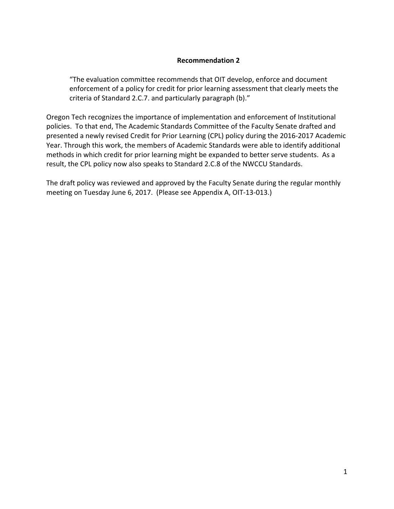#### **Recommendation 2**

"The evaluation committee recommends that OIT develop, enforce and document enforcement of a policy for credit for prior learning assessment that clearly meets the criteria of Standard 2.C.7. and particularly paragraph (b)."

Oregon Tech recognizes the importance of implementation and enforcement of Institutional policies. To that end, The Academic Standards Committee of the Faculty Senate drafted and presented a newly revised Credit for Prior Learning (CPL) policy during the 2016-2017 Academic Year. Through this work, the members of Academic Standards were able to identify additional methods in which credit for prior learning might be expanded to better serve students. As a result, the CPL policy now also speaks to Standard 2.C.8 of the NWCCU Standards.

The draft policy was reviewed and approved by the Faculty Senate during the regular monthly meeting on Tuesday June 6, 2017. (Please see Appendix A, OIT-13-013.)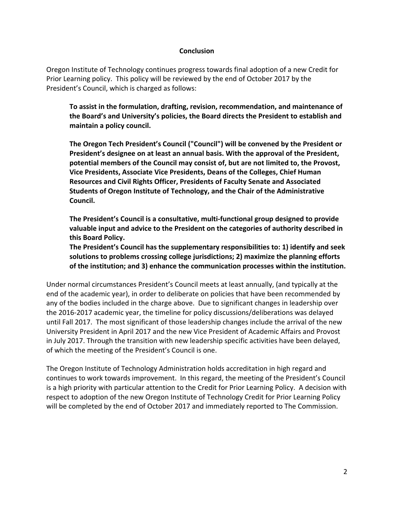#### **Conclusion**

Oregon Institute of Technology continues progress towards final adoption of a new Credit for Prior Learning policy. This policy will be reviewed by the end of October 2017 by the President's Council, which is charged as follows:

**To assist in the formulation, drafting, revision, recommendation, and maintenance of the Board's and University's policies, the Board directs the President to establish and maintain a policy council.** 

**The Oregon Tech President's Council ("Council") will be convened by the President or President's designee on at least an annual basis. With the approval of the President, potential members of the Council may consist of, but are not limited to, the Provost, Vice Presidents, Associate Vice Presidents, Deans of the Colleges, Chief Human Resources and Civil Rights Officer, Presidents of Faculty Senate and Associated Students of Oregon Institute of Technology, and the Chair of the Administrative Council.** 

**The President's Council is a consultative, multi-functional group designed to provide valuable input and advice to the President on the categories of authority described in this Board Policy.** 

**The President's Council has the supplementary responsibilities to: 1) identify and seek solutions to problems crossing college jurisdictions; 2) maximize the planning efforts of the institution; and 3) enhance the communication processes within the institution.** 

Under normal circumstances President's Council meets at least annually, (and typically at the end of the academic year), in order to deliberate on policies that have been recommended by any of the bodies included in the charge above. Due to significant changes in leadership over the 2016-2017 academic year, the timeline for policy discussions/deliberations was delayed until Fall 2017. The most significant of those leadership changes include the arrival of the new University President in April 2017 and the new Vice President of Academic Affairs and Provost in July 2017. Through the transition with new leadership specific activities have been delayed, of which the meeting of the President's Council is one.

The Oregon Institute of Technology Administration holds accreditation in high regard and continues to work towards improvement. In this regard, the meeting of the President's Council is a high priority with particular attention to the Credit for Prior Learning Policy. A decision with respect to adoption of the new Oregon Institute of Technology Credit for Prior Learning Policy will be completed by the end of October 2017 and immediately reported to The Commission.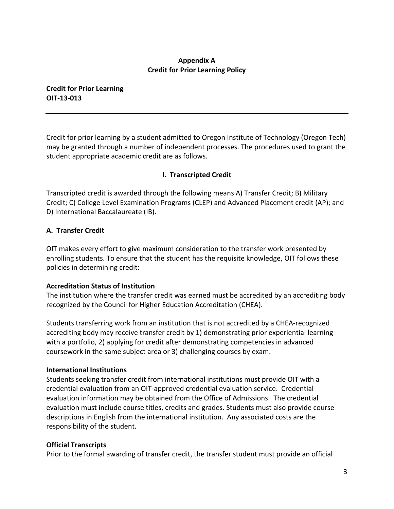#### **Appendix A Credit for Prior Learning Policy**

**Credit for Prior Learning OIT-13-013** 

Credit for prior learning by a student admitted to Oregon Institute of Technology (Oregon Tech) may be granted through a number of independent processes. The procedures used to grant the student appropriate academic credit are as follows.

#### **I. Transcripted Credit**

Transcripted credit is awarded through the following means A) Transfer Credit; B) Military Credit; C) College Level Examination Programs (CLEP) and Advanced Placement credit (AP); and D) International Baccalaureate (IB).

#### **A. Transfer Credit**

OIT makes every effort to give maximum consideration to the transfer work presented by enrolling students. To ensure that the student has the requisite knowledge, OIT follows these policies in determining credit:

#### **Accreditation Status of Institution**

The institution where the transfer credit was earned must be accredited by an accrediting body recognized by the Council for Higher Education Accreditation (CHEA).

Students transferring work from an institution that is not accredited by a CHEA-recognized accrediting body may receive transfer credit by 1) demonstrating prior experiential learning with a portfolio, 2) applying for credit after demonstrating competencies in advanced coursework in the same subject area or 3) challenging courses by exam.

#### **International Institutions**

Students seeking transfer credit from international institutions must provide OIT with a credential evaluation from an OIT-approved credential evaluation service. Credential evaluation information may be obtained from the Office of Admissions. The credential evaluation must include course titles, credits and grades. Students must also provide course descriptions in English from the international institution. Any associated costs are the responsibility of the student.

#### **Official Transcripts**

Prior to the formal awarding of transfer credit, the transfer student must provide an official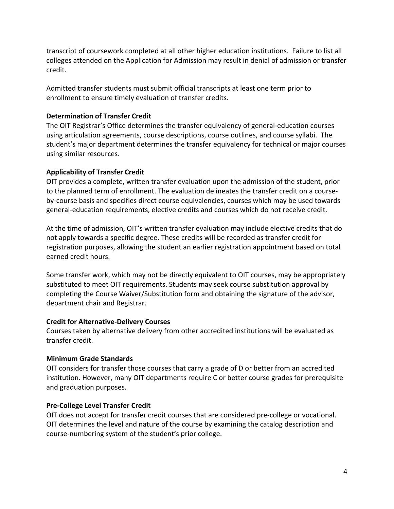transcript of coursework completed at all other higher education institutions. Failure to list all colleges attended on the Application for Admission may result in denial of admission or transfer credit.

Admitted transfer students must submit official transcripts at least one term prior to enrollment to ensure timely evaluation of transfer credits.

#### **Determination of Transfer Credit**

The OIT Registrar's Office determines the transfer equivalency of general-education courses using articulation agreements, course descriptions, course outlines, and course syllabi. The student's major department determines the transfer equivalency for technical or major courses using similar resources.

# **Applicability of Transfer Credit**

OIT provides a complete, written transfer evaluation upon the admission of the student, prior to the planned term of enrollment. The evaluation delineates the transfer credit on a courseby-course basis and specifies direct course equivalencies, courses which may be used towards general-education requirements, elective credits and courses which do not receive credit.

At the time of admission, OIT's written transfer evaluation may include elective credits that do not apply towards a specific degree. These credits will be recorded as transfer credit for registration purposes, allowing the student an earlier registration appointment based on total earned credit hours.

Some transfer work, which may not be directly equivalent to OIT courses, may be appropriately substituted to meet OIT requirements. Students may seek course substitution approval by completing the Course Waiver/Substitution form and obtaining the signature of the advisor, department chair and Registrar.

#### **Credit for Alternative-Delivery Courses**

Courses taken by alternative delivery from other accredited institutions will be evaluated as transfer credit.

#### **Minimum Grade Standards**

OIT considers for transfer those courses that carry a grade of D or better from an accredited institution. However, many OIT departments require C or better course grades for prerequisite and graduation purposes.

#### **Pre-College Level Transfer Credit**

OIT does not accept for transfer credit courses that are considered pre-college or vocational. OIT determines the level and nature of the course by examining the catalog description and course-numbering system of the student's prior college.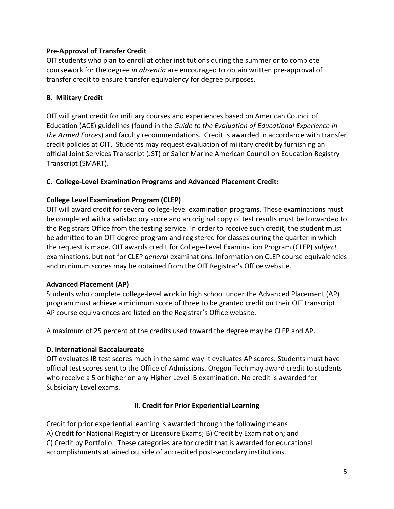#### **Pre-Approval of Transfer Credit**

OIT students who plan to enroll at other institutions during the summer or to complete coursework for the degree *in absentia* are encouraged to obtain written pre-approval of transfer credit to ensure transfer equivalency for degree purposes.

#### **B. Military Credit**

OIT will grant credit for military courses and experiences based on American Council of Education (ACE) guidelines (found in the *Guide to the Evaluation of Educational Experience in the Armed Forces*) and faculty recommendations. Credit is awarded in accordance with transfer credit policies at OIT. Students may request evaluation of military credit by furnishing an official Joint Services Transcript (JST) or Sailor Marine American Council on Education Registry Transcript (SMART).

# **C. College-Level Examination Programs and Advanced Placement Credit:**

# **College Level Examination Program (CLEP)**

OIT will award credit for several college-level examination programs. These examinations must be completed with a satisfactory score and an original copy of test results must be forwarded to the Registrars Office from the testing service. In order to receive such credit, the student must be admitted to an OIT degree program and registered for classes during the quarter in which the request is made. OIT awards credit for College-Level Examination Program (CLEP) *subject*  examinations, but not for CLEP *general* examinations. Information on CLEP course equivalencies and minimum scores may be obtained from the OIT Registrar's Office website.

#### **Advanced Placement (AP)**

Students who complete college-level work in high school under the Advanced Placement (AP) program must achieve a minimum score of three to be granted credit on their OIT transcript. AP course equivalences are listed on the Registrar's Office website.

A maximum of 25 percent of the credits used toward the degree may be CLEP and AP.

#### **D. International Baccalaureate**

OIT evaluates IB test scores much in the same way it evaluates AP scores. Students must have official test scores sent to the Office of Admissions. Oregon Tech may award credit to students who receive a 5 or higher on any Higher Level IB examination. No credit is awarded for Subsidiary Level exams.

#### **II. Credit for Prior Experiential Learning**

Credit for prior experiential learning is awarded through the following means A) Credit for National Registry or Licensure Exams; B) Credit by Examination; and C) Credit by Portfolio. These categories are for credit that is awarded for educational accomplishments attained outside of accredited post-secondary institutions.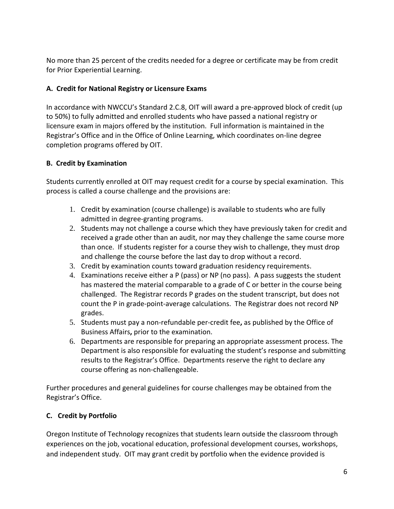No more than 25 percent of the credits needed for a degree or certificate may be from credit for Prior Experiential Learning.

# **A. Credit for National Registry or Licensure Exams**

In accordance with NWCCU's Standard 2.C.8, OIT will award a pre-approved block of credit (up to 50%) to fully admitted and enrolled students who have passed a national registry or licensure exam in majors offered by the institution. Full information is maintained in the Registrar's Office and in the Office of Online Learning, which coordinates on-line degree completion programs offered by OIT.

# **B. Credit by Examination**

Students currently enrolled at OIT may request credit for a course by special examination. This process is called a course challenge and the provisions are:

- 1. Credit by examination (course challenge) is available to students who are fully admitted in degree-granting programs.
- 2. Students may not challenge a course which they have previously taken for credit and received a grade other than an audit, nor may they challenge the same course more than once. If students register for a course they wish to challenge, they must drop and challenge the course before the last day to drop without a record.
- 3. Credit by examination counts toward graduation residency requirements.
- 4. Examinations receive either a P (pass) or NP (no pass). A pass suggests the student has mastered the material comparable to a grade of C or better in the course being challenged. The Registrar records P grades on the student transcript, but does not count the P in grade-point-average calculations. The Registrar does not record NP grades.
- 5. Students must pay a non-refundable per-credit fee**,** as published by the Office of Business Affairs**,** prior to the examination.
- 6. Departments are responsible for preparing an appropriate assessment process. The Department is also responsible for evaluating the student's response and submitting results to the Registrar's Office. Departments reserve the right to declare any course offering as non-challengeable.

Further procedures and general guidelines for course challenges may be obtained from the Registrar's Office.

# **C. Credit by Portfolio**

Oregon Institute of Technology recognizes that students learn outside the classroom through experiences on the job, vocational education, professional development courses, workshops, and independent study. OIT may grant credit by portfolio when the evidence provided is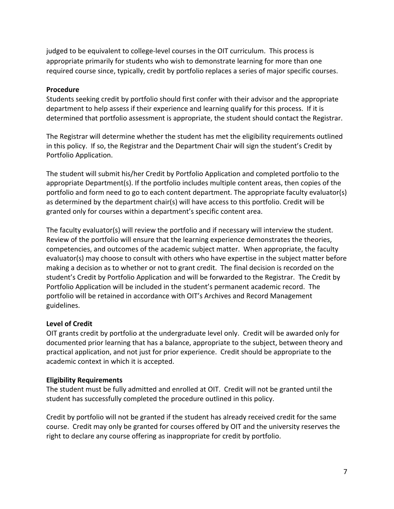judged to be equivalent to college-level courses in the OIT curriculum. This process is appropriate primarily for students who wish to demonstrate learning for more than one required course since, typically, credit by portfolio replaces a series of major specific courses.

#### **Procedure**

Students seeking credit by portfolio should first confer with their advisor and the appropriate department to help assess if their experience and learning qualify for this process. If it is determined that portfolio assessment is appropriate, the student should contact the Registrar.

The Registrar will determine whether the student has met the eligibility requirements outlined in this policy. If so, the Registrar and the Department Chair will sign the student's Credit by Portfolio Application.

The student will submit his/her Credit by Portfolio Application and completed portfolio to the appropriate Department(s). If the portfolio includes multiple content areas, then copies of the portfolio and form need to go to each content department. The appropriate faculty evaluator(s) as determined by the department chair(s) will have access to this portfolio. Credit will be granted only for courses within a department's specific content area.

The faculty evaluator(s) will review the portfolio and if necessary will interview the student. Review of the portfolio will ensure that the learning experience demonstrates the theories, competencies, and outcomes of the academic subject matter. When appropriate, the faculty evaluator(s) may choose to consult with others who have expertise in the subject matter before making a decision as to whether or not to grant credit. The final decision is recorded on the student's Credit by Portfolio Application and will be forwarded to the Registrar. The Credit by Portfolio Application will be included in the student's permanent academic record. The portfolio will be retained in accordance with OIT's Archives and Record Management guidelines.

#### **Level of Credit**

OIT grants credit by portfolio at the undergraduate level only. Credit will be awarded only for documented prior learning that has a balance, appropriate to the subject, between theory and practical application, and not just for prior experience. Credit should be appropriate to the academic context in which it is accepted.

#### **Eligibility Requirements**

The student must be fully admitted and enrolled at OIT. Credit will not be granted until the student has successfully completed the procedure outlined in this policy.

Credit by portfolio will not be granted if the student has already received credit for the same course. Credit may only be granted for courses offered by OIT and the university reserves the right to declare any course offering as inappropriate for credit by portfolio.